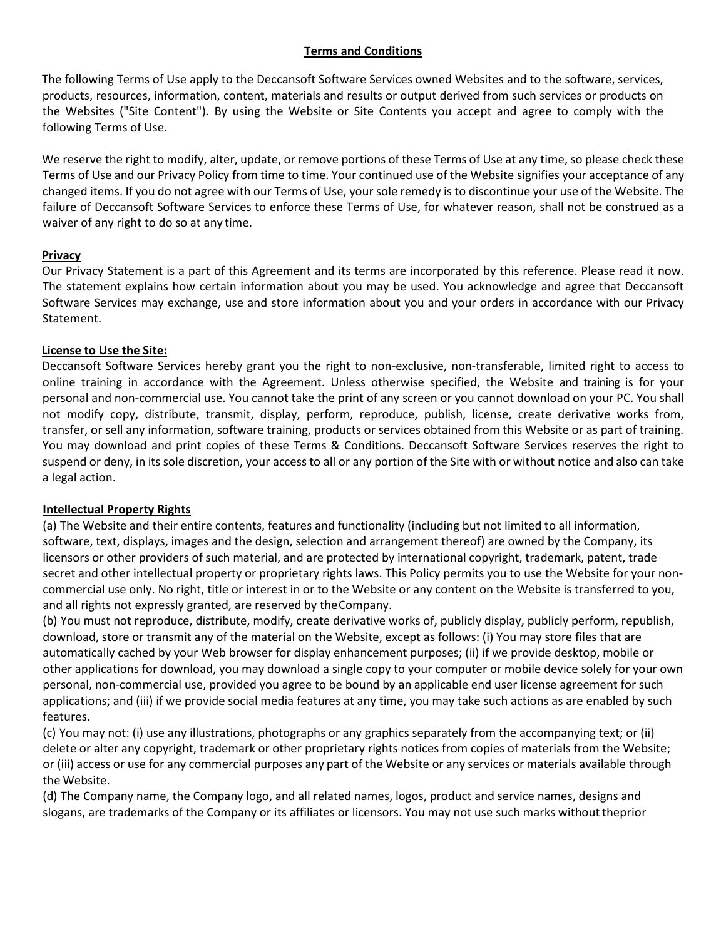### **Terms and Conditions**

The following Terms of Use apply to the Deccansoft Software Services owned Websites and to the software, services, products, resources, information, content, materials and results or output derived from such services or products on the Websites ("Site Content"). By using the Website or Site Contents you accept and agree to comply with the following Terms of Use.

We reserve the right to modify, alter, update, or remove portions of these Terms of Use at any time, so please check these Terms of Use and our Privacy Policy from time to time. Your continued use of the Website signifies your acceptance of any changed items. If you do not agree with our Terms of Use, your sole remedy is to discontinue your use of the Website. The failure of Deccansoft Software Services to enforce these Terms of Use, for whatever reason, shall not be construed as a waiver of any right to do so at any time.

### **Privacy**

Our Privacy Statement is a part of this Agreement and its terms are incorporated by this reference. Please read it no[w.](http://www.bestdotnettraining.com/Specification/PrivacyAgreement.pdf) The statement explains how certain information about you may be used. You acknowledge and agree that Deccansoft Software Services may exchange, use and store information about you and your orders in accordance with our Privacy Statement.

## **License to Use the Site:**

Deccansoft Software Services hereby grant you the right to non-exclusive, non-transferable, limited right to access to online training in accordance with the Agreement. Unless otherwise specified, the Website and training is for your personal and non-commercial use. You cannot take the print of any screen or you cannot download on your PC. You shall not modify copy, distribute, transmit, display, perform, reproduce, publish, license, create derivative works from, transfer, or sell any information, software training, products or services obtained from this Website or as part of training. You may download and print copies of these Terms & Conditions. Deccansoft Software Services reserves the right to suspend or deny, in its sole discretion, your access to all or any portion of the Site with or without notice and also can take a legal action.

# **Intellectual Property Rights**

(a) The Website and their entire contents, features and functionality (including but not limited to all information, software, text, displays, images and the design, selection and arrangement thereof) are owned by the Company, its licensors or other providers of such material, and are protected by international copyright, trademark, patent, trade secret and other intellectual property or proprietary rights laws. This Policy permits you to use the Website for your noncommercial use only. No right, title or interest in or to the Website or any content on the Website is transferred to you, and all rights not expressly granted, are reserved by theCompany.

(b) You must not reproduce, distribute, modify, create derivative works of, publicly display, publicly perform, republish, download, store or transmit any of the material on the Website, except as follows: (i) You may store files that are automatically cached by your Web browser for display enhancement purposes; (ii) if we provide desktop, mobile or other applications for download, you may download a single copy to your computer or mobile device solely for your own personal, non-commercial use, provided you agree to be bound by an applicable end user license agreement for such applications; and (iii) if we provide social media features at any time, you may take such actions as are enabled by such features.

(c) You may not: (i) use any illustrations, photographs or any graphics separately from the accompanying text; or (ii) delete or alter any copyright, trademark or other proprietary rights notices from copies of materials from the Website; or (iii) access or use for any commercial purposes any part of the Website or any services or materials available through the Website.

(d) The Company name, the Company logo, and all related names, logos, product and service names, designs and slogans, are trademarks of the Company or its affiliates or licensors. You may not use such marks without theprior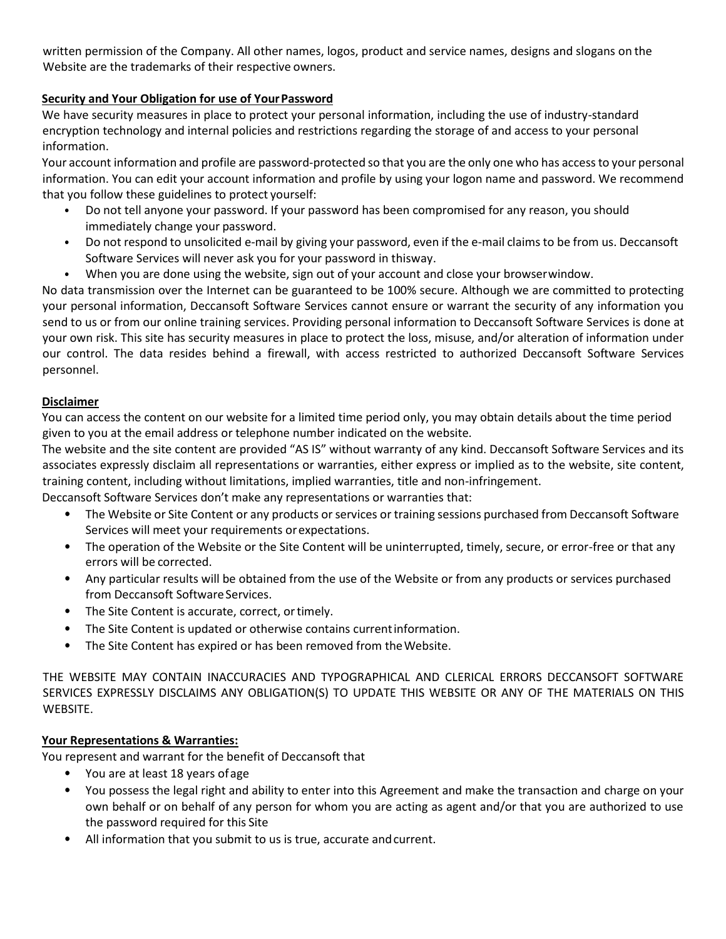written permission of the Company. All other names, logos, product and service names, designs and slogans on the Website are the trademarks of their respective owners.

# **Security and Your Obligation for use of YourPassword**

We have security measures in place to protect your personal information, including the use of industry-standard encryption technology and internal policies and restrictions regarding the storage of and access to your personal information.

Your account information and profile are password-protected so that you are the only one who has accessto your personal information. You can edit your account information and profile by using your logon name and password. We recommend that you follow these guidelines to protect yourself:

- Do not tell anyone your password. If your password has been compromised for any reason, you should immediately change your password.
- Do not respond to unsolicited e-mail by giving your password, even if the e-mail claims to be from us. Deccansoft Software Services will never ask you for your password in thisway.
- When you are done using the website, sign out of your account and close your browserwindow.

No data transmission over the Internet can be guaranteed to be 100% secure. Although we are committed to protecting your personal information, Deccansoft Software Services cannot ensure or warrant the security of any information you send to us or from our online training services. Providing personal information to Deccansoft Software Services is done at your own risk. This site has security measures in place to protect the loss, misuse, and/or alteration of information under our control. The data resides behind a firewall, with access restricted to authorized Deccansoft Software Services personnel.

## **Disclaimer**

You can access the content on our website for a limited time period only, you may obtain details about the time period given to you at the email address or telephone number indicated on the website.

The website and the site content are provided "AS IS" without warranty of any kind. Deccansoft Software Services and its associates expressly disclaim all representations or warranties, either express or implied as to the website, site content, training content, including without limitations, implied warranties, title and non-infringement.

Deccansoft Software Services don't make any representations or warranties that:

- The Website or Site Content or any products or services or training sessions purchased from Deccansoft Software Services will meet your requirements orexpectations.
- The operation of the Website or the Site Content will be uninterrupted, timely, secure, or error-free or that any errors will be corrected.
- Any particular results will be obtained from the use of the Website or from any products or services purchased from Deccansoft Software Services.
- The Site Content is accurate, correct, or timely.
- The Site Content is updated or otherwise contains current information.
- The Site Content has expired or has been removed from theWebsite.

THE WEBSITE MAY CONTAIN INACCURACIES AND TYPOGRAPHICAL AND CLERICAL ERRORS DECCANSOFT SOFTWARE SERVICES EXPRESSLY DISCLAIMS ANY OBLIGATION(S) TO UPDATE THIS WEBSITE OR ANY OF THE MATERIALS ON THIS WEBSITE.

### **Your Representations & Warranties:**

You represent and warrant for the benefit of Deccansoft that

- You are at least 18 years ofage
- You possess the legal right and ability to enter into this Agreement and make the transaction and charge on your own behalf or on behalf of any person for whom you are acting as agent and/or that you are authorized to use the password required for this Site
- All information that you submit to us is true, accurate and current.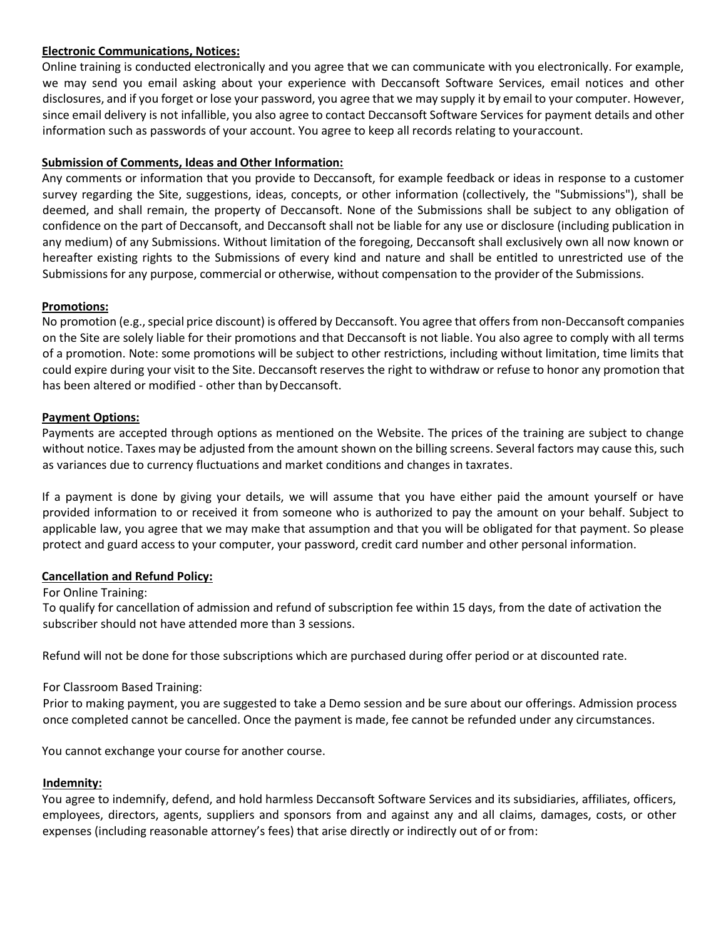## **Electronic Communications, Notices:**

Online training is conducted electronically and you agree that we can communicate with you electronically. For example, we may send you email asking about your experience with Deccansoft Software Services, email notices and other disclosures, and if you forget or lose your password, you agree that we may supply it by email to your computer. However, since email delivery is not infallible, you also agree to contact Deccansoft Software Services for payment details and other information such as passwords of your account. You agree to keep all records relating to youraccount.

# **Submission of Comments, Ideas and Other Information:**

Any comments or information that you provide to Deccansoft, for example feedback or ideas in response to a customer survey regarding the Site, suggestions, ideas, concepts, or other information (collectively, the "Submissions"), shall be deemed, and shall remain, the property of Deccansoft. None of the Submissions shall be subject to any obligation of confidence on the part of Deccansoft, and Deccansoft shall not be liable for any use or disclosure (including publication in any medium) of any Submissions. Without limitation of the foregoing, Deccansoft shall exclusively own all now known or hereafter existing rights to the Submissions of every kind and nature and shall be entitled to unrestricted use of the Submissions for any purpose, commercial or otherwise, without compensation to the provider of the Submissions.

## **Promotions:**

No promotion (e.g., special price discount) is offered by Deccansoft. You agree that offers from non-Deccansoft companies on the Site are solely liable for their promotions and that Deccansoft is not liable. You also agree to comply with all terms of a promotion. Note: some promotions will be subject to other restrictions, including without limitation, time limits that could expire during your visit to the Site. Deccansoft reserves the right to withdraw or refuse to honor any promotion that has been altered or modified - other than by Deccansoft.

## **Payment Options:**

Payments are accepted through options as mentioned on the Website. The prices of the training are subject to change without notice. Taxes may be adjusted from the amount shown on the billing screens. Several factors may cause this, such as variances due to currency fluctuations and market conditions and changes in taxrates.

If a payment is done by giving your details, we will assume that you have either paid the amount yourself or have provided information to or received it from someone who is authorized to pay the amount on your behalf. Subject to applicable law, you agree that we may make that assumption and that you will be obligated for that payment. So please protect and guard access to your computer, your password, credit card number and other personal information.

### **Cancellation and Refund Policy:**

### For Online Training:

To qualify for cancellation of admission and refund of subscription fee within 15 days, from the date of activation the subscriber should not have attended more than 3 sessions.

Refund will not be done for those subscriptions which are purchased during offer period or at discounted rate.

# For Classroom Based Training:

Prior to making payment, you are suggested to take a Demo session and be sure about our offerings. Admission process once completed cannot be cancelled. Once the payment is made, fee cannot be refunded under any circumstances.

You cannot exchange your course for another course.

### **Indemnity:**

You agree to indemnify, defend, and hold harmless Deccansoft Software Services and its subsidiaries, affiliates, officers, employees, directors, agents, suppliers and sponsors from and against any and all claims, damages, costs, or other expenses (including reasonable attorney's fees) that arise directly or indirectly out of or from: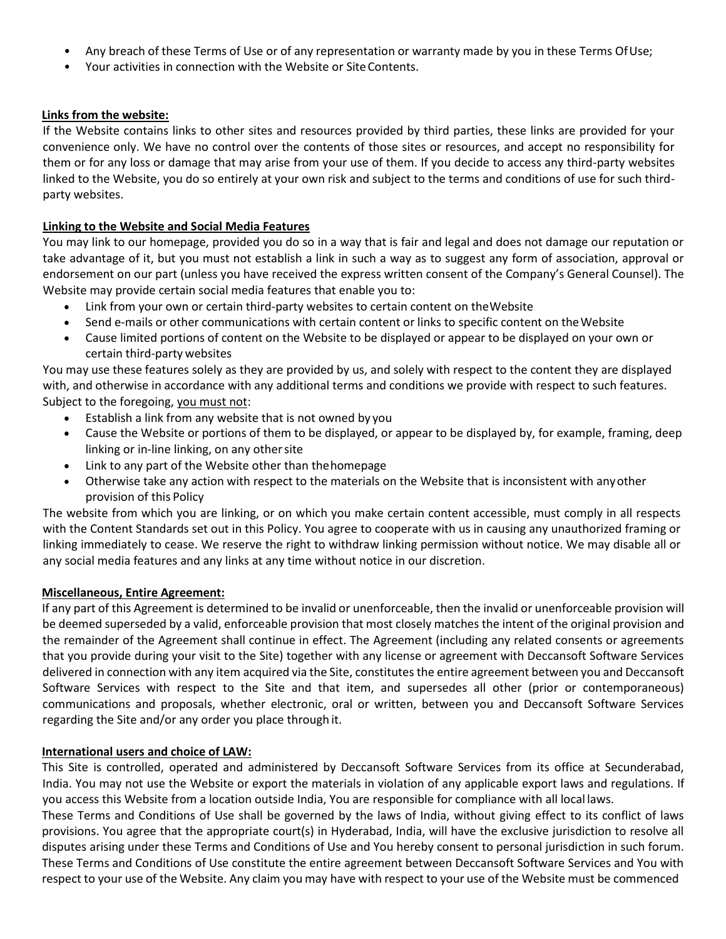- Any breach of these Terms of Use or of any representation or warranty made by you in these Terms OfUse;
- Your activities in connection with the Website or SiteContents.

### **Links from the website:**

If the Website contains links to other sites and resources provided by third parties, these links are provided for your convenience only. We have no control over the contents of those sites or resources, and accept no responsibility for them or for any loss or damage that may arise from your use of them. If you decide to access any third-party websites linked to the Website, you do so entirely at your own risk and subject to the terms and conditions of use for such thirdparty websites.

### **Linking to the Website and Social Media Features**

You may link to our homepage, provided you do so in a way that is fair and legal and does not damage our reputation or take advantage of it, but you must not establish a link in such a way as to suggest any form of association, approval or endorsement on our part (unless you have received the express written consent of the Company's General Counsel). The Website may provide certain social media features that enable you to:

- Link from your own or certain third-party websites to certain content on theWebsite
- Send e-mails or other communications with certain content or links to specific content on theWebsite
- Cause limited portions of content on the Website to be displayed or appear to be displayed on your own or certain third-party websites

You may use these features solely as they are provided by us, and solely with respect to the content they are displayed with, and otherwise in accordance with any additional terms and conditions we provide with respect to such features. Subject to the foregoing, you must not:

- Establish a link from any website that is not owned by you
- Cause the Website or portions of them to be displayed, or appear to be displayed by, for example, framing, deep linking or in-line linking, on any other site
- Link to any part of the Website other than thehomepage
- Otherwise take any action with respect to the materials on the Website that is inconsistent with anyother provision of this Policy

The website from which you are linking, or on which you make certain content accessible, must comply in all respects with the Content Standards set out in this Policy. You agree to cooperate with us in causing any unauthorized framing or linking immediately to cease. We reserve the right to withdraw linking permission without notice. We may disable all or any social media features and any links at any time without notice in our discretion.

### **Miscellaneous, Entire Agreement:**

If any part of this Agreement is determined to be invalid or unenforceable, then the invalid or unenforceable provision will be deemed superseded by a valid, enforceable provision that most closely matches the intent of the original provision and the remainder of the Agreement shall continue in effect. The Agreement (including any related consents or agreements that you provide during your visit to the Site) together with any license or agreement with Deccansoft Software Services delivered in connection with any item acquired via the Site, constitutes the entire agreement between you and Deccansoft Software Services with respect to the Site and that item, and supersedes all other (prior or contemporaneous) communications and proposals, whether electronic, oral or written, between you and Deccansoft Software Services regarding the Site and/or any order you place through it.

### **International users and choice of LAW:**

This Site is controlled, operated and administered by Deccansoft Software Services from its office at Secunderabad, India. You may not use the Website or export the materials in violation of any applicable export laws and regulations. If you access this Website from a location outside India, You are responsible for compliance with all local laws.

These Terms and Conditions of Use shall be governed by the laws of India, without giving effect to its conflict of laws provisions. You agree that the appropriate court(s) in Hyderabad, India, will have the exclusive jurisdiction to resolve all disputes arising under these Terms and Conditions of Use and You hereby consent to personal jurisdiction in such forum. These Terms and Conditions of Use constitute the entire agreement between Deccansoft Software Services and You with respect to your use of the Website. Any claim you may have with respect to your use of the Website must be commenced